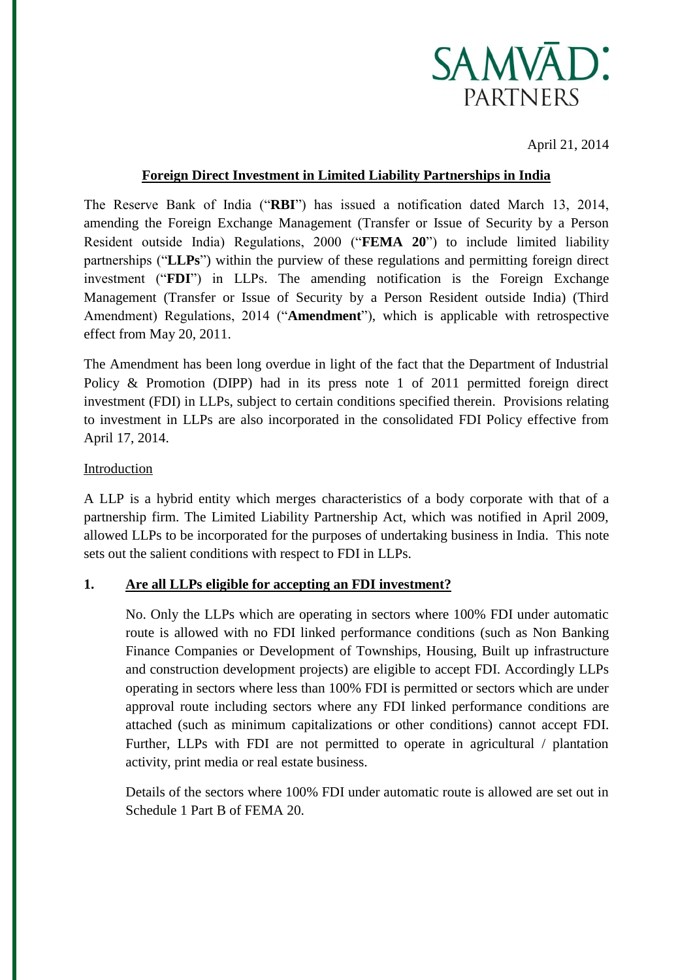

April 21, 2014

## **Foreign Direct Investment in Limited Liability Partnerships in India**

The Reserve Bank of India ("**RBI**") has issued a notification dated March 13, 2014, amending the Foreign Exchange Management (Transfer or Issue of Security by a Person Resident outside India) Regulations, 2000 ("**FEMA 20**") to include limited liability partnerships ("**LLPs**") within the purview of these regulations and permitting foreign direct investment ("**FDI**") in LLPs. The amending notification is the Foreign Exchange Management (Transfer or Issue of Security by a Person Resident outside India) (Third Amendment) Regulations, 2014 ("**Amendment**"), which is applicable with retrospective effect from May 20, 2011.

The Amendment has been long overdue in light of the fact that the Department of Industrial Policy & Promotion (DIPP) had in its press note 1 of 2011 permitted foreign direct investment (FDI) in LLPs, subject to certain conditions specified therein. Provisions relating to investment in LLPs are also incorporated in the consolidated FDI Policy effective from April 17, 2014.

## Introduction

A LLP is a hybrid entity which merges characteristics of a body corporate with that of a partnership firm. The Limited Liability Partnership Act, which was notified in April 2009, allowed LLPs to be incorporated for the purposes of undertaking business in India. This note sets out the salient conditions with respect to FDI in LLPs.

# **1. Are all LLPs eligible for accepting an FDI investment?**

No. Only the LLPs which are operating in sectors where 100% FDI under automatic route is allowed with no FDI linked performance conditions (such as Non Banking Finance Companies or Development of Townships, Housing, Built up infrastructure and construction development projects) are eligible to accept FDI. Accordingly LLPs operating in sectors where less than 100% FDI is permitted or sectors which are under approval route including sectors where any FDI linked performance conditions are attached (such as minimum capitalizations or other conditions) cannot accept FDI. Further, LLPs with FDI are not permitted to operate in agricultural / plantation activity, print media or real estate business.

Details of the sectors where 100% FDI under automatic route is allowed are set out in Schedule 1 Part B of FEMA 20.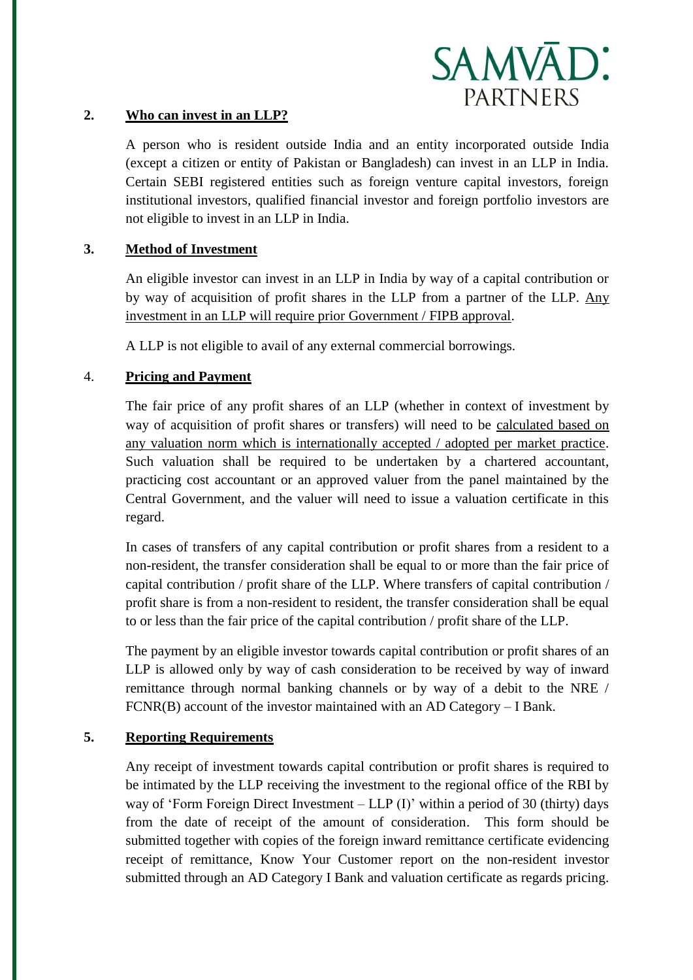

## **2. Who can invest in an LLP?**

A person who is resident outside India and an entity incorporated outside India (except a citizen or entity of Pakistan or Bangladesh) can invest in an LLP in India. Certain SEBI registered entities such as foreign venture capital investors, foreign institutional investors, qualified financial investor and foreign portfolio investors are not eligible to invest in an LLP in India.

# **3. Method of Investment**

An eligible investor can invest in an LLP in India by way of a capital contribution or by way of acquisition of profit shares in the LLP from a partner of the LLP. Any investment in an LLP will require prior Government / FIPB approval.

A LLP is not eligible to avail of any external commercial borrowings.

# 4. **Pricing and Payment**

The fair price of any profit shares of an LLP (whether in context of investment by way of acquisition of profit shares or transfers) will need to be calculated based on any valuation norm which is internationally accepted / adopted per market practice. Such valuation shall be required to be undertaken by a chartered accountant, practicing cost accountant or an approved valuer from the panel maintained by the Central Government, and the valuer will need to issue a valuation certificate in this regard.

In cases of transfers of any capital contribution or profit shares from a resident to a non-resident, the transfer consideration shall be equal to or more than the fair price of capital contribution / profit share of the LLP. Where transfers of capital contribution / profit share is from a non-resident to resident, the transfer consideration shall be equal to or less than the fair price of the capital contribution / profit share of the LLP.

The payment by an eligible investor towards capital contribution or profit shares of an LLP is allowed only by way of cash consideration to be received by way of inward remittance through normal banking channels or by way of a debit to the NRE / FCNR(B) account of the investor maintained with an AD Category – I Bank.

## **5. Reporting Requirements**

Any receipt of investment towards capital contribution or profit shares is required to be intimated by the LLP receiving the investment to the regional office of the RBI by way of 'Form Foreign Direct Investment – LLP (I)' within a period of 30 (thirty) days from the date of receipt of the amount of consideration. This form should be submitted together with copies of the foreign inward remittance certificate evidencing receipt of remittance, Know Your Customer report on the non-resident investor submitted through an AD Category I Bank and valuation certificate as regards pricing.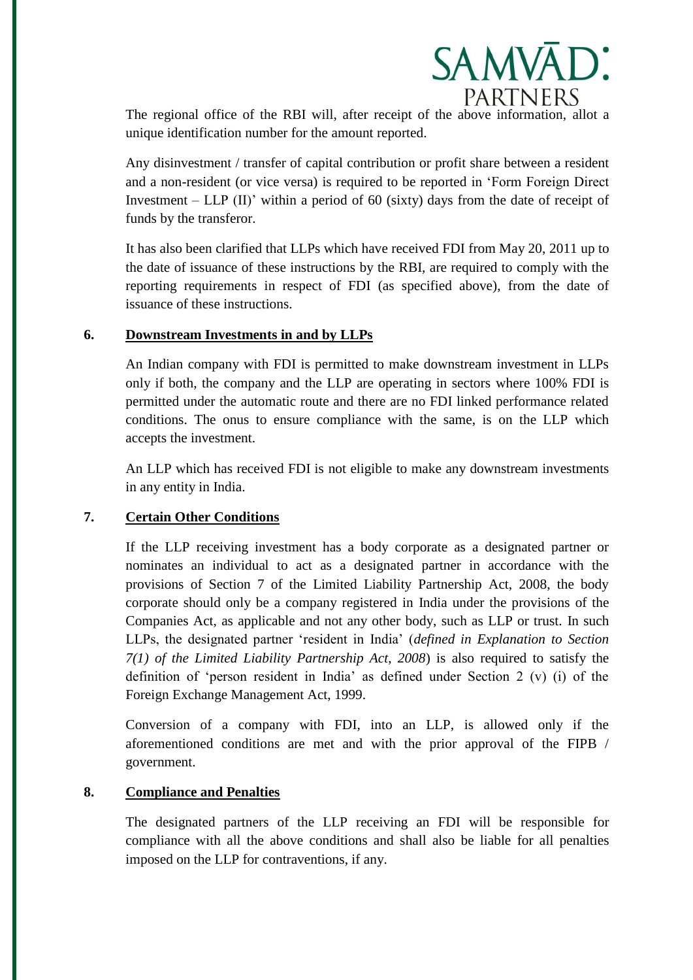

The regional office of the RBI will, after receipt of the above information, allot a unique identification number for the amount reported.

Any disinvestment / transfer of capital contribution or profit share between a resident and a non-resident (or vice versa) is required to be reported in 'Form Foreign Direct Investment – LLP (II)' within a period of 60 (sixty) days from the date of receipt of funds by the transferor.

It has also been clarified that LLPs which have received FDI from May 20, 2011 up to the date of issuance of these instructions by the RBI, are required to comply with the reporting requirements in respect of FDI (as specified above), from the date of issuance of these instructions.

## **6. Downstream Investments in and by LLPs**

An Indian company with FDI is permitted to make downstream investment in LLPs only if both, the company and the LLP are operating in sectors where 100% FDI is permitted under the automatic route and there are no FDI linked performance related conditions. The onus to ensure compliance with the same, is on the LLP which accepts the investment.

An LLP which has received FDI is not eligible to make any downstream investments in any entity in India.

# **7. Certain Other Conditions**

If the LLP receiving investment has a body corporate as a designated partner or nominates an individual to act as a designated partner in accordance with the provisions of Section 7 of the Limited Liability Partnership Act, 2008, the body corporate should only be a company registered in India under the provisions of the Companies Act, as applicable and not any other body, such as LLP or trust. In such LLPs, the designated partner 'resident in India' (*defined in Explanation to Section 7(1) of the Limited Liability Partnership Act, 2008*) is also required to satisfy the definition of 'person resident in India' as defined under Section 2 (v) (i) of the Foreign Exchange Management Act, 1999.

Conversion of a company with FDI, into an LLP, is allowed only if the aforementioned conditions are met and with the prior approval of the FIPB / government.

# **8. Compliance and Penalties**

The designated partners of the LLP receiving an FDI will be responsible for compliance with all the above conditions and shall also be liable for all penalties imposed on the LLP for contraventions, if any.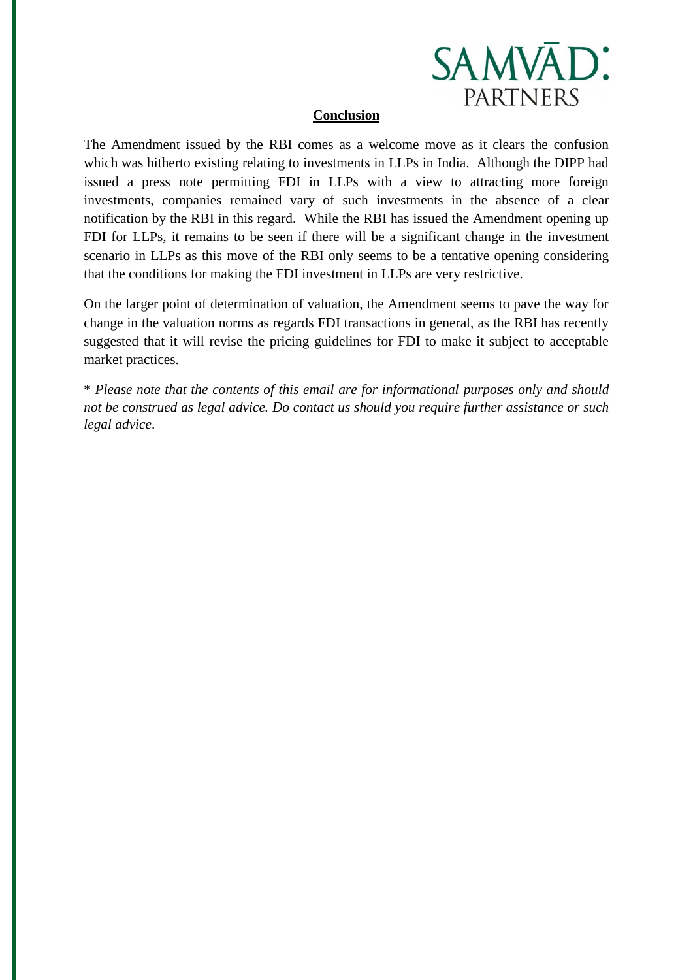

#### **Conclusion**

The Amendment issued by the RBI comes as a welcome move as it clears the confusion which was hitherto existing relating to investments in LLPs in India. Although the DIPP had issued a press note permitting FDI in LLPs with a view to attracting more foreign investments, companies remained vary of such investments in the absence of a clear notification by the RBI in this regard. While the RBI has issued the Amendment opening up FDI for LLPs, it remains to be seen if there will be a significant change in the investment scenario in LLPs as this move of the RBI only seems to be a tentative opening considering that the conditions for making the FDI investment in LLPs are very restrictive.

On the larger point of determination of valuation, the Amendment seems to pave the way for change in the valuation norms as regards FDI transactions in general, as the RBI has recently suggested that it will revise the pricing guidelines for FDI to make it subject to acceptable market practices.

\* *Please note that the contents of this email are for informational purposes only and should not be construed as legal advice. Do contact us should you require further assistance or such legal advice*.